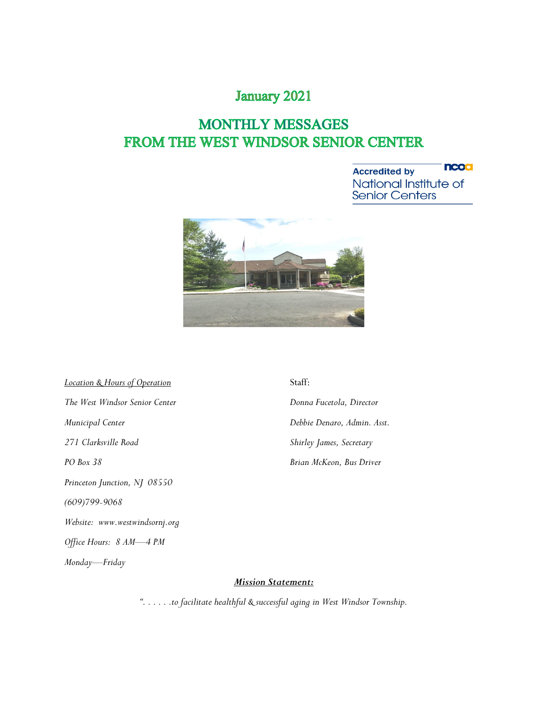### **January 2021**

### **MONTHLY MESSAGES** FROM THE WEST WINDSOR SENIOR CENTER

**ncoa Accredited by** National Institute of<br>Senior Centers



*Location & Hours of Operation* Staff: *The West Windsor Senior Center Donna Fucetola, Director Municipal Center Debbie Denaro, Admin. Asst. 271 Clarksville Road Shirley James, Secretary PO Box 38 Brian McKeon, Bus Driver Princeton Junction, NJ 08550 (609)799-9068 Website: www.westwindsornj.org Office Hours: 8 AM—4 PM Monday—Friday*

*Mission Statement:*

*". . . . . .to facilitate healthful & successful aging in West Windsor Township.*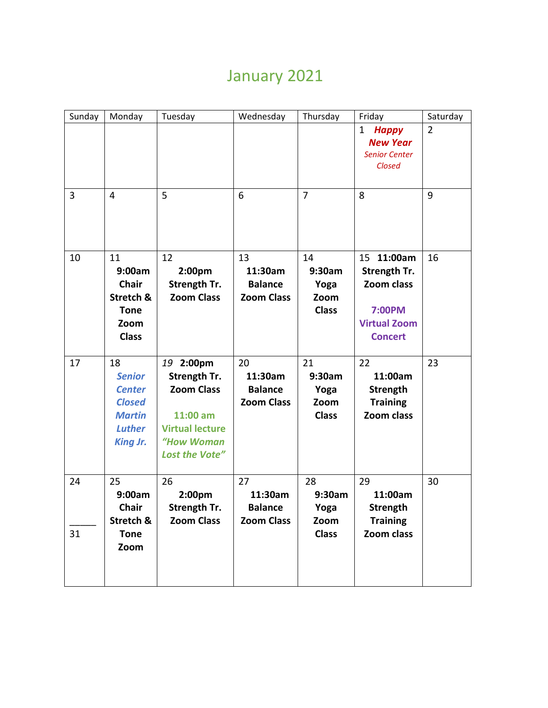# January 2021

| Sunday         | Monday                                                                                                     | Tuesday                                                                                                              | Wednesday                                            | Thursday                                     | Friday                                                                                      | Saturday       |
|----------------|------------------------------------------------------------------------------------------------------------|----------------------------------------------------------------------------------------------------------------------|------------------------------------------------------|----------------------------------------------|---------------------------------------------------------------------------------------------|----------------|
|                |                                                                                                            |                                                                                                                      |                                                      |                                              | $\mathbf{1}$<br><b>Happy</b><br><b>New Year</b><br><b>Senior Center</b><br>Closed           | $\overline{2}$ |
| $\overline{3}$ | 4                                                                                                          | 5                                                                                                                    | 6                                                    | $\overline{7}$                               | 8                                                                                           | 9              |
| 10             | 11<br>9:00am<br><b>Chair</b><br>Stretch &<br><b>Tone</b><br>Zoom<br><b>Class</b>                           | 12<br>2:00pm<br>Strength Tr.<br><b>Zoom Class</b>                                                                    | 13<br>11:30am<br><b>Balance</b><br><b>Zoom Class</b> | 14<br>9:30am<br>Yoga<br>Zoom<br><b>Class</b> | 15 11:00am<br>Strength Tr.<br>Zoom class<br>7:00PM<br><b>Virtual Zoom</b><br><b>Concert</b> | 16             |
| 17             | 18<br><b>Senior</b><br><b>Center</b><br><b>Closed</b><br><b>Martin</b><br><b>Luther</b><br><b>King Jr.</b> | 19 2:00pm<br>Strength Tr.<br><b>Zoom Class</b><br>11:00 am<br><b>Virtual lecture</b><br>"How Woman<br>Lost the Vote" | 20<br>11:30am<br><b>Balance</b><br><b>Zoom Class</b> | 21<br>9:30am<br>Yoga<br>Zoom<br><b>Class</b> | 22<br>11:00am<br>Strength<br><b>Training</b><br>Zoom class                                  | 23             |
| 24<br>31       | 25<br>9:00am<br><b>Chair</b><br>Stretch &<br><b>Tone</b><br>Zoom                                           | 26<br>2:00pm<br>Strength Tr.<br><b>Zoom Class</b>                                                                    | 27<br>11:30am<br><b>Balance</b><br><b>Zoom Class</b> | 28<br>9:30am<br>Yoga<br>Zoom<br><b>Class</b> | 29<br>11:00am<br>Strength<br><b>Training</b><br>Zoom class                                  | 30             |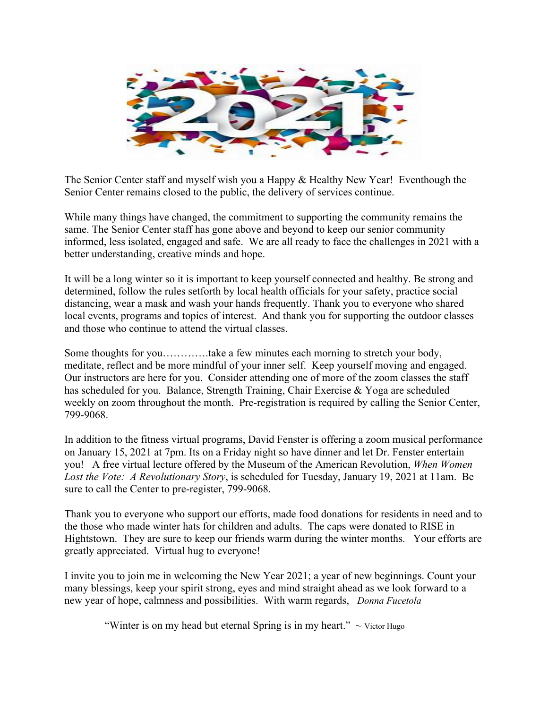

The Senior Center staff and myself wish you a Happy & Healthy New Year! Eventhough the Senior Center remains closed to the public, the delivery of services continue.

While many things have changed, the commitment to supporting the community remains the same. The Senior Center staff has gone above and beyond to keep our senior community informed, less isolated, engaged and safe. We are all ready to face the challenges in 2021 with a better understanding, creative minds and hope.

It will be a long winter so it is important to keep yourself connected and healthy. Be strong and determined, follow the rules setforth by local health officials for your safety, practice social distancing, wear a mask and wash your hands frequently. Thank you to everyone who shared local events, programs and topics of interest. And thank you for supporting the outdoor classes and those who continue to attend the virtual classes.

Some thoughts for you………….take a few minutes each morning to stretch your body, meditate, reflect and be more mindful of your inner self. Keep yourself moving and engaged. Our instructors are here for you. Consider attending one of more of the zoom classes the staff has scheduled for you. Balance, Strength Training, Chair Exercise & Yoga are scheduled weekly on zoom throughout the month. Pre-registration is required by calling the Senior Center, 799-9068.

In addition to the fitness virtual programs, David Fenster is offering a zoom musical performance on January 15, 2021 at 7pm. Its on a Friday night so have dinner and let Dr. Fenster entertain you! A free virtual lecture offered by the Museum of the American Revolution, *When Women Lost the Vote: A Revolutionary Story*, is scheduled for Tuesday, January 19, 2021 at 11am. Be sure to call the Center to pre-register, 799-9068.

Thank you to everyone who support our efforts, made food donations for residents in need and to the those who made winter hats for children and adults. The caps were donated to RISE in Hightstown. They are sure to keep our friends warm during the winter months. Your efforts are greatly appreciated. Virtual hug to everyone!

I invite you to join me in welcoming the New Year 2021; a year of new beginnings. Count your many blessings, keep your spirit strong, eyes and mind straight ahead as we look forward to a new year of hope, calmness and possibilities. With warm regards, *Donna Fucetola*

"Winter is on my head but eternal Spring is in my heart."  $\sim$  Victor Hugo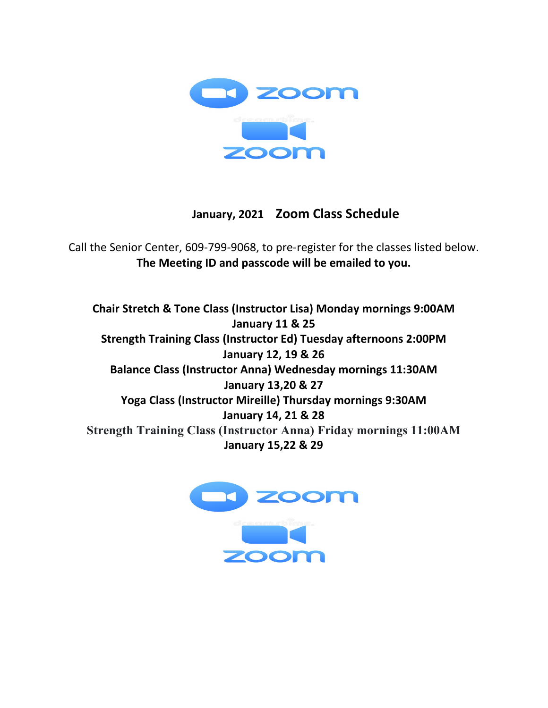

### **January, 2021 Zoom Class Schedule**

Call the Senior Center, 609-799-9068, to pre-register for the classes listed below. **The Meeting ID and passcode will be emailed to you.**

**Chair Stretch & Tone Class (Instructor Lisa) Monday mornings 9:00AM January 11 & 25 Strength Training Class (Instructor Ed) Tuesday afternoons 2:00PM January 12, 19 & 26 Balance Class (Instructor Anna) Wednesday mornings 11:30AM January 13,20 & 27 Yoga Class (Instructor Mireille) Thursday mornings 9:30AM January 14, 21 & 28 Strength Training Class (Instructor Anna) Friday mornings 11:00AM January 15,22 & 29** 

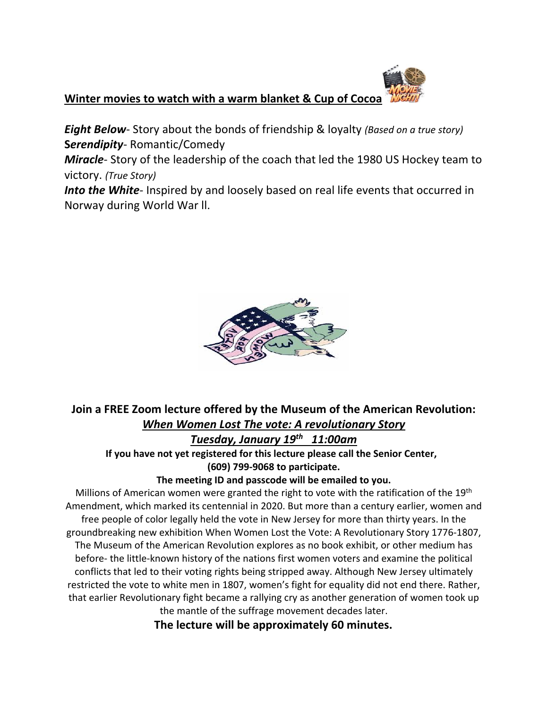### **Winter movies to watch with a warm blanket & Cup of Cocoa**

*Eight Below*- Story about the bonds of friendship & loyalty *(Based on a true story)* **S***erendipity*- Romantic/Comedy

*Miracle*- Story of the leadership of the coach that led the 1980 US Hockey team to victory. *(True Story)*

*Into the White*- Inspired by and loosely based on real life events that occurred in Norway during World War ll.



### **Join a FREE Zoom lecture offered by the Museum of the American Revolution:**  *When Women Lost The vote: A revolutionary Story*

*Tuesday, January 19th 11:00am* 

 **If you have not yet registered for this lecture please call the Senior Center, (609) 799-9068 to participate.** 

#### **The meeting ID and passcode will be emailed to you.**

Millions of American women were granted the right to vote with the ratification of the 19<sup>th</sup> Amendment, which marked its centennial in 2020. But more than a century earlier, women and free people of color legally held the vote in New Jersey for more than thirty years. In the groundbreaking new exhibition When Women Lost the Vote: A Revolutionary Story 1776-1807, The Museum of the American Revolution explores as no book exhibit, or other medium has before- the little-known history of the nations first women voters and examine the political conflicts that led to their voting rights being stripped away. Although New Jersey ultimately restricted the vote to white men in 1807, women's fight for equality did not end there. Rather, that earlier Revolutionary fight became a rallying cry as another generation of women took up the mantle of the suffrage movement decades later.

 **The lecture will be approximately 60 minutes.**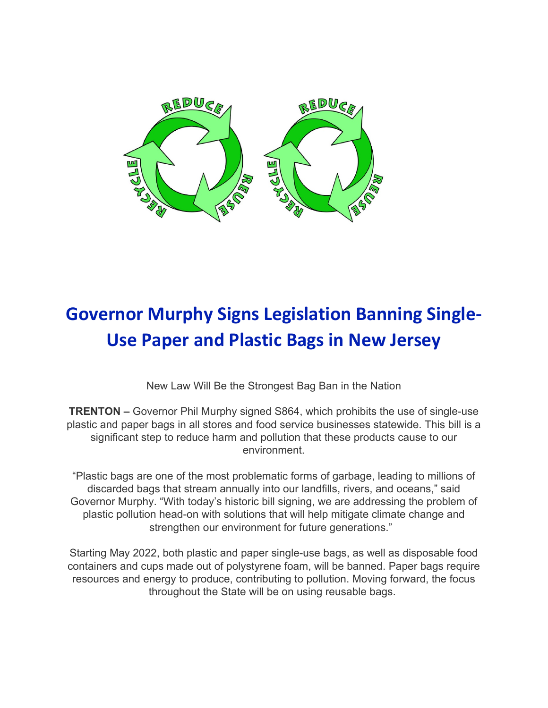

# **Governor Murphy Signs Legislation Banning Single-Use Paper and Plastic Bags in New Jersey**

New Law Will Be the Strongest Bag Ban in the Nation

**TRENTON –** Governor Phil Murphy signed S864, which prohibits the use of single-use plastic and paper bags in all stores and food service businesses statewide. This bill is a significant step to reduce harm and pollution that these products cause to our environment.

"Plastic bags are one of the most problematic forms of garbage, leading to millions of discarded bags that stream annually into our landfills, rivers, and oceans," said Governor Murphy. "With today's historic bill signing, we are addressing the problem of plastic pollution head-on with solutions that will help mitigate climate change and strengthen our environment for future generations."

Starting May 2022, both plastic and paper single-use bags, as well as disposable food containers and cups made out of polystyrene foam, will be banned. Paper bags require resources and energy to produce, contributing to pollution. Moving forward, the focus throughout the State will be on using reusable bags.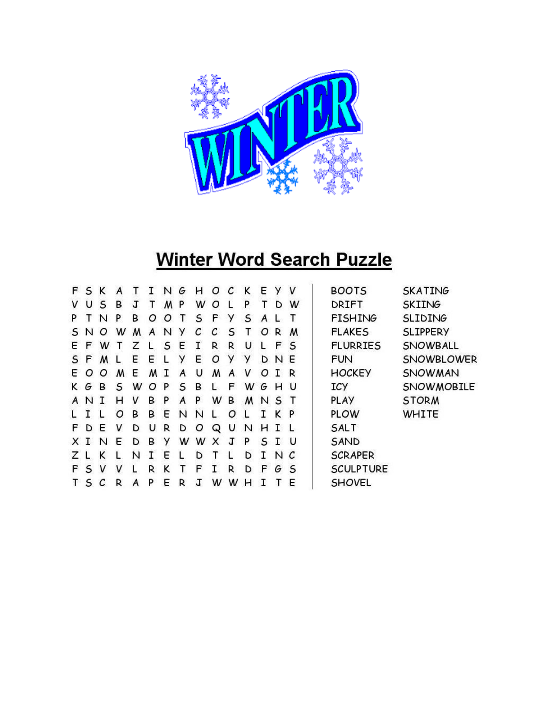

# **Winter Word Search Puzzle**

| F. | S |          |   |   |   | N      | G | н | Ο  | C | ĸ | E  | У  | v  | <b>BOOTS</b>     | <b>SKATING</b>    |
|----|---|----------|---|---|---|--------|---|---|----|---|---|----|----|----|------------------|-------------------|
| v  | U | S        | в | J | T | M      | P | W | Ο  |   | P | т  | D  | w  | <b>DRIFT</b>     | <b>SKIING</b>     |
| P  |   | N        | P | в | Ω | Ω      |   | S | F  | У | S | A  |    |    | <b>FISHING</b>   | <b>SLIDING</b>    |
| S  | N | Ω        | w | M | A | N      | У | C | C  | S |   | O  | R. | M  | <b>FLAKES</b>    | <b>SLIPPERY</b>   |
| Е  | F | w        |   | 7 |   | S      | Ε | T | R  | R | U | 1. | F  | S  | <b>FLURRIES</b>  | SNOWBALL          |
| S  | E | M        |   | Ε | Ε |        | у | Ε | Ο  | У | У | D  | N  | E  | <b>FUN</b>       | SNOWBLOWER        |
| E. | Ω | Ω        | M | E | м | $\top$ | A | U | м  | A | v | Ω  | т  | R  | <b>HOCKEY</b>    | SNOWMAN           |
| K  | G | <b>B</b> | S | w | Ω | P      | S | B |    | F | w | G  | н  | U  | <b>ICY</b>       | <b>SNOWMOBILE</b> |
| A  | N | $\top$   | н | v | в | P      | A | P | w  | в | M | N  | S  |    | <b>PLAY</b>      | <b>STORM</b>      |
|    | т |          | Ο | в | в | Е      | N | N |    | Ο |   |    | ĸ  | P  | <b>PLOW</b>      | <b>WHITE</b>      |
| F. | D | E        | v | D | U | R      | D | O | Q  | υ | N | н  |    |    | <b>SALT</b>      |                   |
| x  | т | N        | F | D | в | У      | w | w | x  | л | P | S. | т  | -0 | SAND             |                   |
|    |   |          |   | N | т | F      |   | D |    |   | D |    | N  |    | <b>SCRAPER</b>   |                   |
| F  | S | v        | v |   | R | ĸ      |   | F | T. | R | D | F  | G  | S  | <b>SCULPTURE</b> |                   |
|    | S | C        | R | Α | P | E      | R | л | W  | W | н |    |    | E  | <b>SHOVEL</b>    |                   |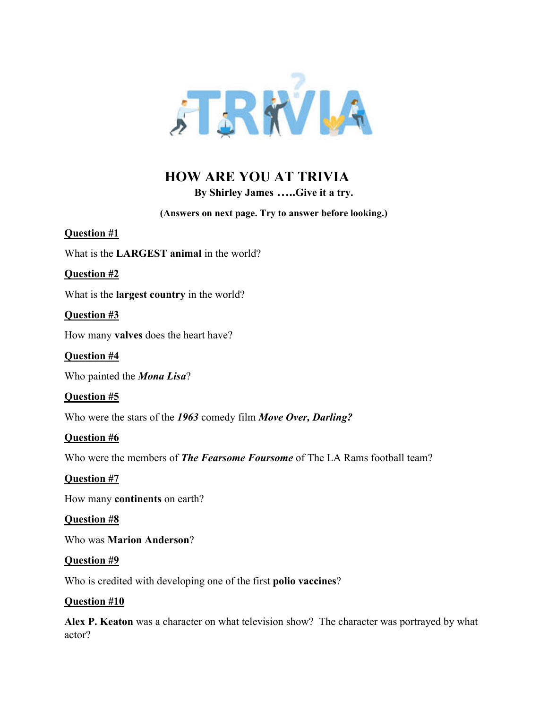

### **HOW ARE YOU AT TRIVIA**

**By Shirley James …..Give it a try.**

**(Answers on next page. Try to answer before looking.)**

What is the **LARGEST animal** in the world?

**Question #2**

**Question #1**

What is the **largest country** in the world?

**Question #3**

How many **valves** does the heart have?

**Question #4**

Who painted the *Mona Lisa*?

**Question #5**

Who were the stars of the *1963* comedy film *Move Over, Darling?*

**Question #6**

Who were the members of *The Fearsome Foursome* of The LA Rams football team?

**Question #7**

How many **continents** on earth?

**Question #8**

Who was **Marion Anderson**?

#### **Question #9**

Who is credited with developing one of the first **polio vaccines**?

#### **Question #10**

**Alex P. Keaton** was a character on what television show? The character was portrayed by what actor?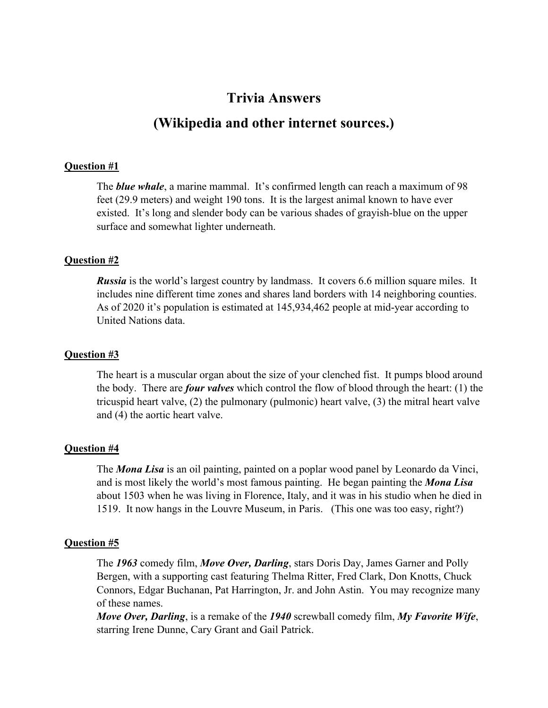## **Trivia Answers (Wikipedia and other internet sources.)**

#### **Question #1**

The *blue whale*, a marine mammal. It's confirmed length can reach a maximum of 98 feet (29.9 meters) and weight 190 tons. It is the largest animal known to have ever existed. It's long and slender body can be various shades of grayish-blue on the upper surface and somewhat lighter underneath.

#### **Question #2**

*Russia* is the world's largest country by landmass. It covers 6.6 million square miles. It includes nine different time zones and shares land borders with 14 neighboring counties. As of 2020 it's population is estimated at 145,934,462 people at mid-year according to United Nations data.

#### **Question #3**

The heart is a muscular organ about the size of your clenched fist. It pumps blood around the body. There are *four valves* which control the flow of blood through the heart: (1) the tricuspid heart valve, (2) the pulmonary (pulmonic) heart valve, (3) the mitral heart valve and (4) the aortic heart valve.

#### **Question #4**

The *Mona Lisa* is an oil painting, painted on a poplar wood panel by Leonardo da Vinci, and is most likely the world's most famous painting. He began painting the *Mona Lisa* about 1503 when he was living in Florence, Italy, and it was in his studio when he died in 1519. It now hangs in the Louvre Museum, in Paris. (This one was too easy, right?)

#### **Question #5**

The *1963* comedy film, *Move Over, Darling*, stars Doris Day, James Garner and Polly Bergen, with a supporting cast featuring Thelma Ritter, Fred Clark, Don Knotts, Chuck Connors, Edgar Buchanan, Pat Harrington, Jr. and John Astin. You may recognize many of these names.

*Move Over, Darling*, is a remake of the *1940* screwball comedy film, *My Favorite Wife*, starring Irene Dunne, Cary Grant and Gail Patrick.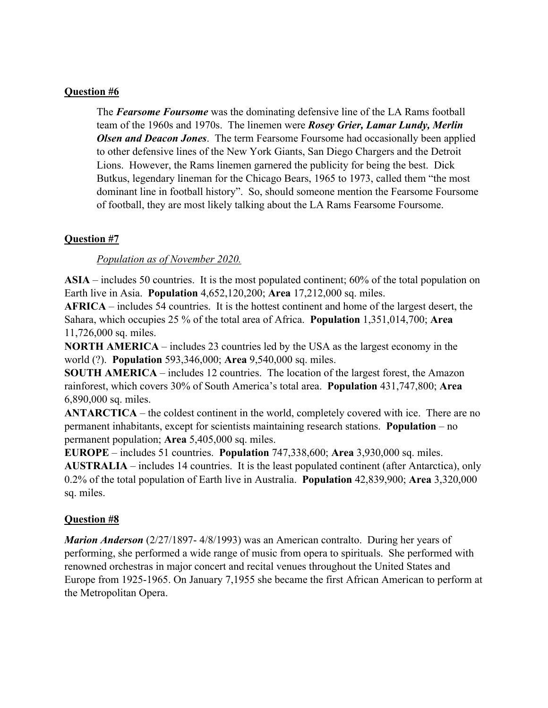#### **Question #6**

The *Fearsome Foursome* was the dominating defensive line of the LA Rams football team of the 1960s and 1970s. The linemen were *Rosey Grier, Lamar Lundy, Merlin Olsen and Deacon Jones*. The term Fearsome Foursome had occasionally been applied to other defensive lines of the New York Giants, San Diego Chargers and the Detroit Lions. However, the Rams linemen garnered the publicity for being the best. Dick Butkus, legendary lineman for the Chicago Bears, 1965 to 1973, called them "the most dominant line in football history". So, should someone mention the Fearsome Foursome of football, they are most likely talking about the LA Rams Fearsome Foursome.

#### **Question #7**

*Population as of November 2020.*

**ASIA** – includes 50 countries. It is the most populated continent; 60% of the total population on Earth live in Asia. **Population** 4,652,120,200; **Area** 17,212,000 sq. miles.

**AFRICA** – includes 54 countries. It is the hottest continent and home of the largest desert, the Sahara, which occupies 25 % of the total area of Africa. **Population** 1,351,014,700; **Area** 11,726,000 sq. miles.

**NORTH AMERICA** – includes 23 countries led by the USA as the largest economy in the world (?). **Population** 593,346,000; **Area** 9,540,000 sq. miles.

**SOUTH AMERICA** – includes 12 countries. The location of the largest forest, the Amazon rainforest, which covers 30% of South America's total area. **Population** 431,747,800; **Area** 6,890,000 sq. miles.

**ANTARCTICA** – the coldest continent in the world, completely covered with ice. There are no permanent inhabitants, except for scientists maintaining research stations. **Population** – no permanent population; **Area** 5,405,000 sq. miles.

**EUROPE** – includes 51 countries. **Population** 747,338,600; **Area** 3,930,000 sq. miles. **AUSTRALIA** – includes 14 countries. It is the least populated continent (after Antarctica), only 0.2% of the total population of Earth live in Australia. **Population** 42,839,900; **Area** 3,320,000 sq. miles.

#### **Question #8**

*Marion Anderson* (2/27/1897- 4/8/1993) was an American contralto. During her years of performing, she performed a wide range of music from opera to spirituals. She performed with renowned orchestras in major concert and recital venues throughout the United States and Europe from 1925-1965. On January 7,1955 she became the first African American to perform at the Metropolitan Opera.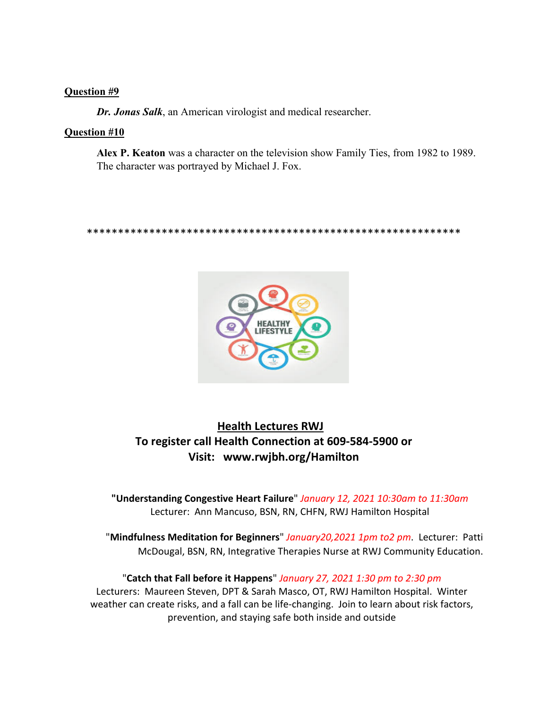#### **Question #9**

*Dr. Jonas Salk*, an American virologist and medical researcher.

#### **Question #10**

**Alex P. Keaton** was a character on the television show Family Ties, from 1982 to 1989. The character was portrayed by Michael J. Fox.

\*\*\*\*\*\*\*\*\*\*\*\*\*\*\*\*\*\*\*\*\*\*\*\*\*\*\*\*\*\*\*\*\*\*\*\*\*\*\*\*\*\*\*\*\*\*\*\*\*\*\*\*\*\*\*\*\*\*\*\*



### **Health Lectures RWJ To register call Health Connection at 609-584-5900 or Visit: www.rwjbh.org/Hamilton**

**"Understanding Congestive Heart Failure**" *January 12, 2021 10:30am to 11:30am* Lecturer: Ann Mancuso, BSN, RN, CHFN, RWJ Hamilton Hospital

"**Mindfulness Meditation for Beginners**" *January20,2021 1pm to2 pm*. Lecturer: Patti McDougal, BSN, RN, Integrative Therapies Nurse at RWJ Community Education.

"**Catch that Fall before it Happens**" *January 27, 2021 1:30 pm to 2:30 pm* Lecturers: Maureen Steven, DPT & Sarah Masco, OT, RWJ Hamilton Hospital. Winter weather can create risks, and a fall can be life-changing. Join to learn about risk factors, prevention, and staying safe both inside and outside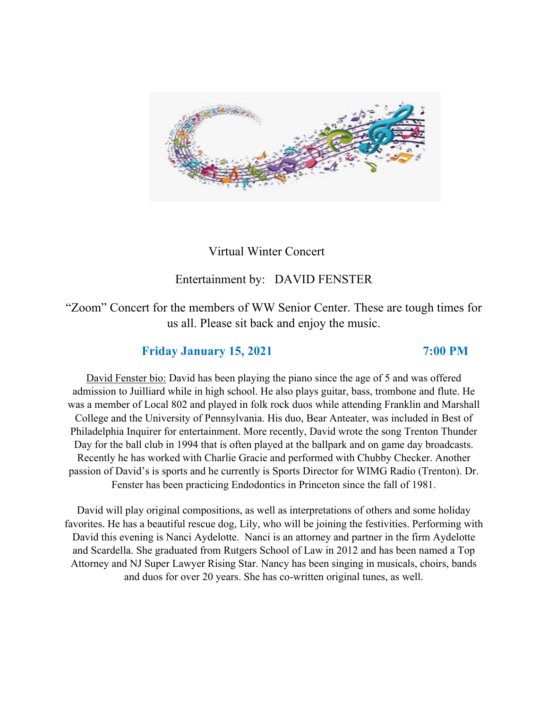

### Virtual Winter Concert

### Entertainment by: DAVID FENSTER

"Zoom" Concert for the members of WW Senior Center. These are tough times for us all. Please sit back and enjoy the music.

#### **Friday January 15, 2021 7:00 PM**

David Fenster bio: David has been playing the piano since the age of 5 and was offered admission to Juilliard while in high school. He also plays guitar, bass, trombone and flute. He was a member of Local 802 and played in folk rock duos while attending Franklin and Marshall College and the University of Pennsylvania. His duo, Bear Anteater, was included in Best of Philadelphia Inquirer for entertainment. More recently, David wrote the song Trenton Thunder Day for the ball club in 1994 that is often played at the ballpark and on game day broadcasts. Recently he has worked with Charlie Gracie and performed with Chubby Checker. Another passion of David's is sports and he currently is Sports Director for WIMG Radio (Trenton). Dr. Fenster has been practicing Endodontics in Princeton since the fall of 1981.

David will play original compositions, as well as interpretations of others and some holiday favorites. He has a beautiful rescue dog, Lily, who will be joining the festivities. Performing with David this evening is Nanci Aydelotte. Nanci is an attorney and partner in the firm Aydelotte and Scardella. She graduated from Rutgers School of Law in 2012 and has been named a Top Attorney and NJ Super Lawyer Rising Star. Nancy has been singing in musicals, choirs, bands and duos for over 20 years. She has co-written original tunes, as well.